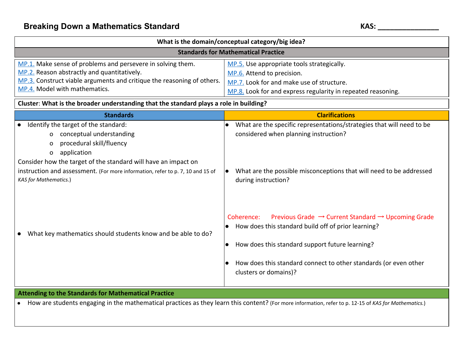| What is the domain/conceptual category/big idea?                                                                                                                                                                                                                                                                            |                                                                                                                                                                                                                                                                                                 |
|-----------------------------------------------------------------------------------------------------------------------------------------------------------------------------------------------------------------------------------------------------------------------------------------------------------------------------|-------------------------------------------------------------------------------------------------------------------------------------------------------------------------------------------------------------------------------------------------------------------------------------------------|
| <b>Standards for Mathematical Practice</b>                                                                                                                                                                                                                                                                                  |                                                                                                                                                                                                                                                                                                 |
| MP.1. Make sense of problems and persevere in solving them.<br>MP.2. Reason abstractly and quantitatively.<br>MP.3. Construct viable arguments and critique the reasoning of others.<br>MP.4. Model with mathematics.                                                                                                       | MP.5. Use appropriate tools strategically.<br>MP.6. Attend to precision.<br>MP.7. Look for and make use of structure.<br>MP.8. Look for and express regularity in repeated reasoning.                                                                                                           |
| Cluster: What is the broader understanding that the standard plays a role in building?                                                                                                                                                                                                                                      |                                                                                                                                                                                                                                                                                                 |
| <b>Standards</b>                                                                                                                                                                                                                                                                                                            | <b>Clarifications</b>                                                                                                                                                                                                                                                                           |
| Identify the target of the standard:<br>$\bullet$<br>conceptual understanding<br>O<br>procedural skill/fluency<br>o<br>application<br>0<br>Consider how the target of the standard will have an impact on<br>instruction and assessment. (For more information, refer to p. 7, 10 and 15 of<br><b>KAS</b> for Mathematics.) | What are the specific representations/strategies that will need to be<br>$\bullet$<br>considered when planning instruction?<br>What are the possible misconceptions that will need to be addressed<br>during instruction?                                                                       |
| What key mathematics should students know and be able to do?                                                                                                                                                                                                                                                                | Previous Grade $\rightarrow$ Current Standard $\rightarrow$ Upcoming Grade<br>Coherence:<br>How does this standard build off of prior learning?<br>How does this standard support future learning?<br>How does this standard connect to other standards (or even other<br>clusters or domains)? |
| <b>Attending to the Standards for Mathematical Practice</b>                                                                                                                                                                                                                                                                 |                                                                                                                                                                                                                                                                                                 |
| How are students engaging in the mathematical practices as they learn this content? (For more information, refer to p. 12-15 of KAS for Mathematics.)                                                                                                                                                                       |                                                                                                                                                                                                                                                                                                 |